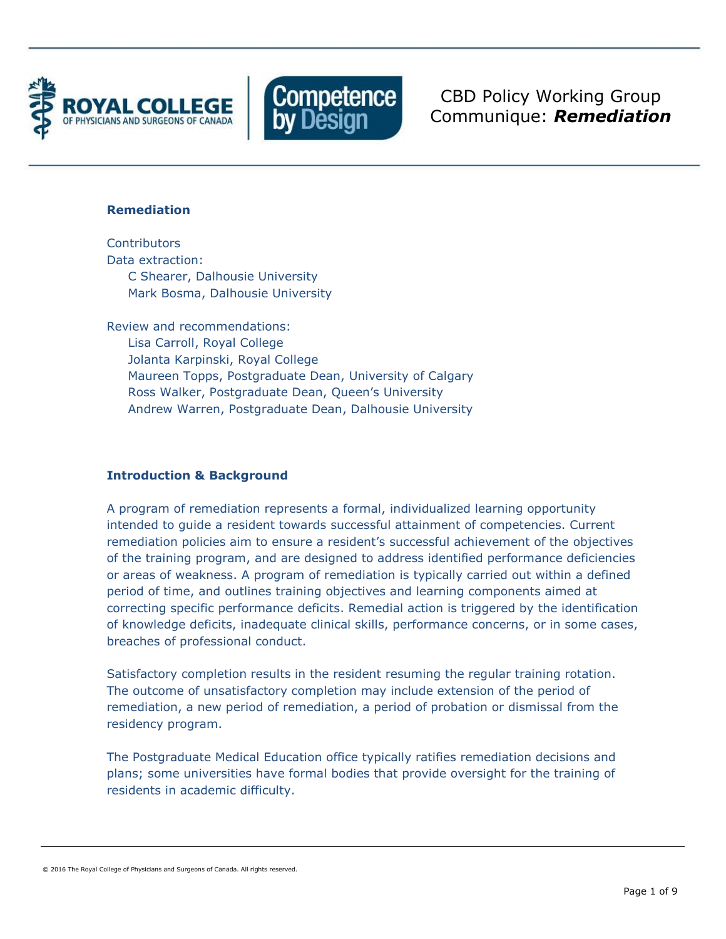



CBD Policy Working Group Communique: *Remediation*

### **Remediation**

**Contributors** Data extraction: C Shearer, Dalhousie University Mark Bosma, Dalhousie University

Review and recommendations: Lisa Carroll, Royal College Jolanta Karpinski, Royal College Maureen Topps, Postgraduate Dean, University of Calgary Ross Walker, Postgraduate Dean, Queen's University Andrew Warren, Postgraduate Dean, Dalhousie University

# **Introduction & Background**

A program of remediation represents a formal, individualized learning opportunity intended to guide a resident towards successful attainment of competencies. Current remediation policies aim to ensure a resident's successful achievement of the objectives of the training program, and are designed to address identified performance deficiencies or areas of weakness. A program of remediation is typically carried out within a defined period of time, and outlines training objectives and learning components aimed at correcting specific performance deficits. Remedial action is triggered by the identification of knowledge deficits, inadequate clinical skills, performance concerns, or in some cases, breaches of professional conduct.

Satisfactory completion results in the resident resuming the regular training rotation. The outcome of unsatisfactory completion may include extension of the period of remediation, a new period of remediation, a period of probation or dismissal from the residency program.

The Postgraduate Medical Education office typically ratifies remediation decisions and plans; some universities have formal bodies that provide oversight for the training of residents in academic difficulty.

<sup>© 2016</sup> The Royal College of Physicians and Surgeons of Canada. All rights reserved.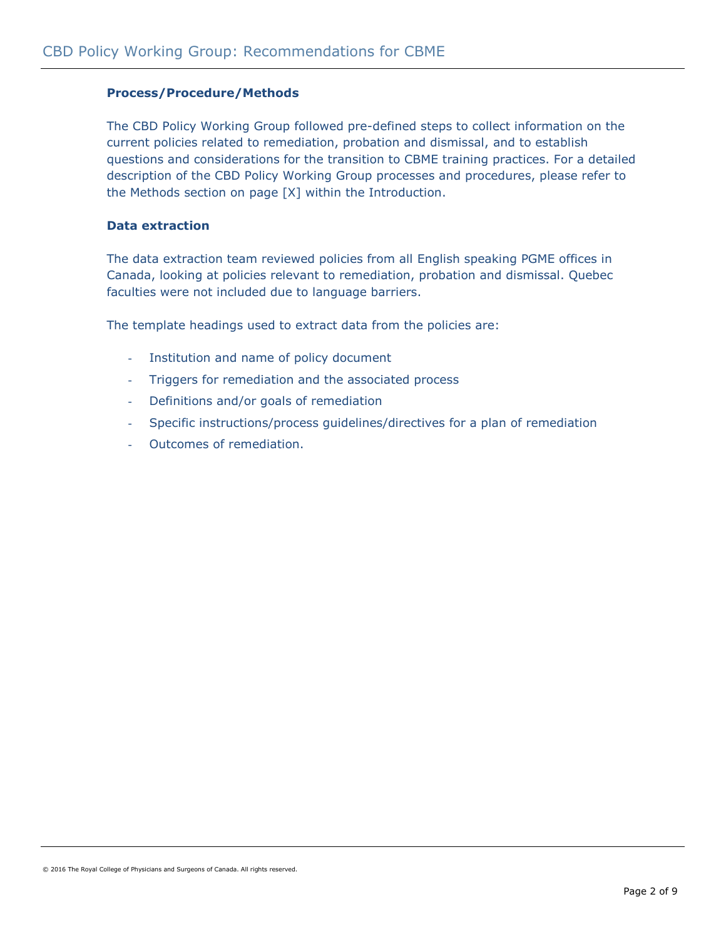# **Process/Procedure/Methods**

The CBD Policy Working Group followed pre-defined steps to collect information on the current policies related to remediation, probation and dismissal, and to establish questions and considerations for the transition to CBME training practices. For a detailed description of the CBD Policy Working Group processes and procedures, please refer to the Methods section on page [X] within the Introduction.

### **Data extraction**

The data extraction team reviewed policies from all English speaking PGME offices in Canada, looking at policies relevant to remediation, probation and dismissal. Quebec faculties were not included due to language barriers.

The template headings used to extract data from the policies are:

- Institution and name of policy document
- Triggers for remediation and the associated process
- Definitions and/or goals of remediation
- Specific instructions/process guidelines/directives for a plan of remediation
- Outcomes of remediation.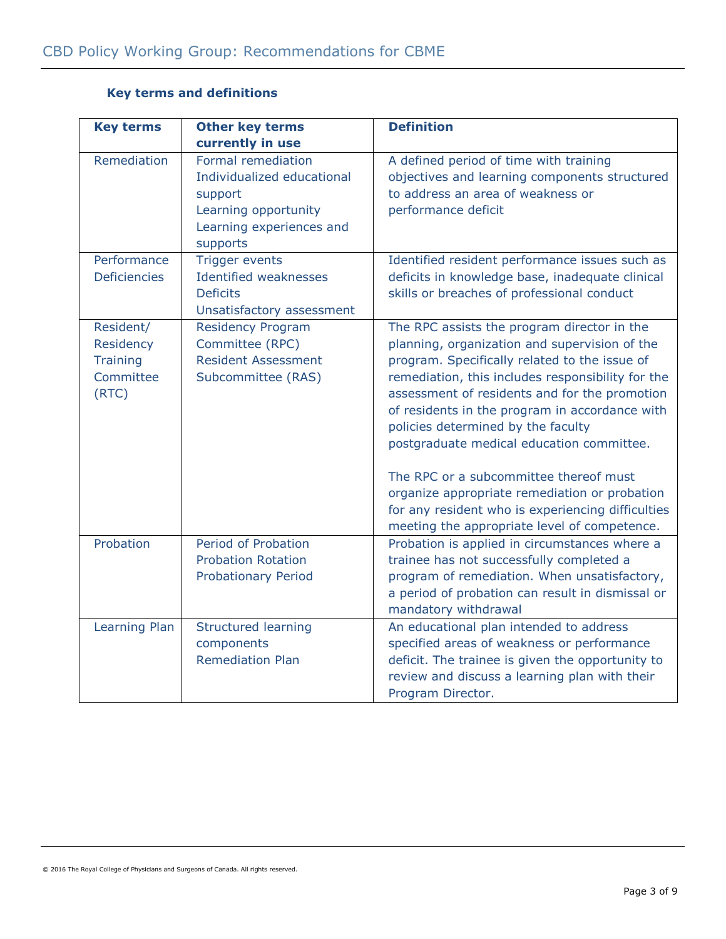| <b>Key terms</b>                                                | <b>Other key terms</b>                                                                                                      | <b>Definition</b>                                                                                                                                                                                                                                                                                                                                                                                                                                                                                                                                                                        |
|-----------------------------------------------------------------|-----------------------------------------------------------------------------------------------------------------------------|------------------------------------------------------------------------------------------------------------------------------------------------------------------------------------------------------------------------------------------------------------------------------------------------------------------------------------------------------------------------------------------------------------------------------------------------------------------------------------------------------------------------------------------------------------------------------------------|
|                                                                 | currently in use                                                                                                            |                                                                                                                                                                                                                                                                                                                                                                                                                                                                                                                                                                                          |
| Remediation                                                     | Formal remediation<br>Individualized educational<br>support<br>Learning opportunity<br>Learning experiences and<br>supports | A defined period of time with training<br>objectives and learning components structured<br>to address an area of weakness or<br>performance deficit                                                                                                                                                                                                                                                                                                                                                                                                                                      |
| Performance<br><b>Deficiencies</b>                              | <b>Trigger events</b><br><b>Identified weaknesses</b><br><b>Deficits</b><br>Unsatisfactory assessment                       | Identified resident performance issues such as<br>deficits in knowledge base, inadequate clinical<br>skills or breaches of professional conduct                                                                                                                                                                                                                                                                                                                                                                                                                                          |
| Resident/<br>Residency<br><b>Training</b><br>Committee<br>(RTC) | <b>Residency Program</b><br>Committee (RPC)<br><b>Resident Assessment</b><br>Subcommittee (RAS)                             | The RPC assists the program director in the<br>planning, organization and supervision of the<br>program. Specifically related to the issue of<br>remediation, this includes responsibility for the<br>assessment of residents and for the promotion<br>of residents in the program in accordance with<br>policies determined by the faculty<br>postgraduate medical education committee.<br>The RPC or a subcommittee thereof must<br>organize appropriate remediation or probation<br>for any resident who is experiencing difficulties<br>meeting the appropriate level of competence. |
| Probation                                                       | Period of Probation<br><b>Probation Rotation</b><br><b>Probationary Period</b>                                              | Probation is applied in circumstances where a<br>trainee has not successfully completed a<br>program of remediation. When unsatisfactory,<br>a period of probation can result in dismissal or<br>mandatory withdrawal                                                                                                                                                                                                                                                                                                                                                                    |
| Learning Plan                                                   | <b>Structured learning</b><br>components<br><b>Remediation Plan</b>                                                         | An educational plan intended to address<br>specified areas of weakness or performance<br>deficit. The trainee is given the opportunity to<br>review and discuss a learning plan with their<br>Program Director.                                                                                                                                                                                                                                                                                                                                                                          |

# **Key terms and definitions**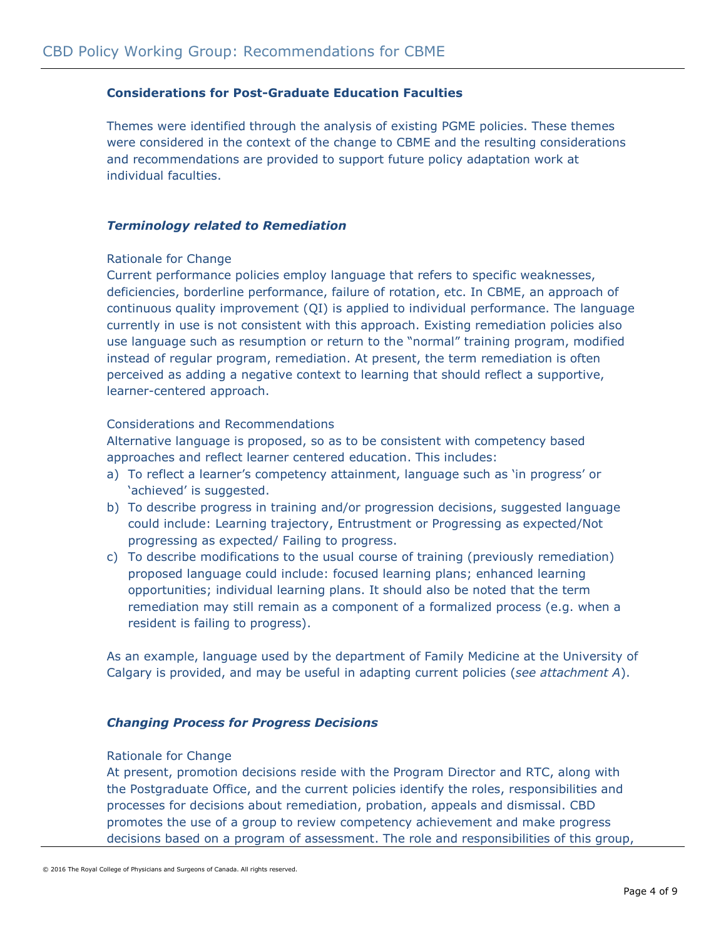# **Considerations for Post-Graduate Education Faculties**

Themes were identified through the analysis of existing PGME policies. These themes were considered in the context of the change to CBME and the resulting considerations and recommendations are provided to support future policy adaptation work at individual faculties.

### *Terminology related to Remediation*

### Rationale for Change

Current performance policies employ language that refers to specific weaknesses, deficiencies, borderline performance, failure of rotation, etc. In CBME, an approach of continuous quality improvement (QI) is applied to individual performance. The language currently in use is not consistent with this approach. Existing remediation policies also use language such as resumption or return to the "normal" training program, modified instead of regular program, remediation. At present, the term remediation is often perceived as adding a negative context to learning that should reflect a supportive, learner-centered approach.

# Considerations and Recommendations

Alternative language is proposed, so as to be consistent with competency based approaches and reflect learner centered education. This includes:

- a) To reflect a learner's competency attainment, language such as 'in progress' or 'achieved' is suggested.
- b) To describe progress in training and/or progression decisions, suggested language could include: Learning trajectory, Entrustment or Progressing as expected/Not progressing as expected/ Failing to progress.
- c) To describe modifications to the usual course of training (previously remediation) proposed language could include: focused learning plans; enhanced learning opportunities; individual learning plans. It should also be noted that the term remediation may still remain as a component of a formalized process (e.g. when a resident is failing to progress).

As an example, language used by the department of Family Medicine at the University of Calgary is provided, and may be useful in adapting current policies (*see attachment A*).

### *Changing Process for Progress Decisions*

### Rationale for Change

At present, promotion decisions reside with the Program Director and RTC, along with the Postgraduate Office, and the current policies identify the roles, responsibilities and processes for decisions about remediation, probation, appeals and dismissal. CBD promotes the use of a group to review competency achievement and make progress decisions based on a program of assessment. The role and responsibilities of this group,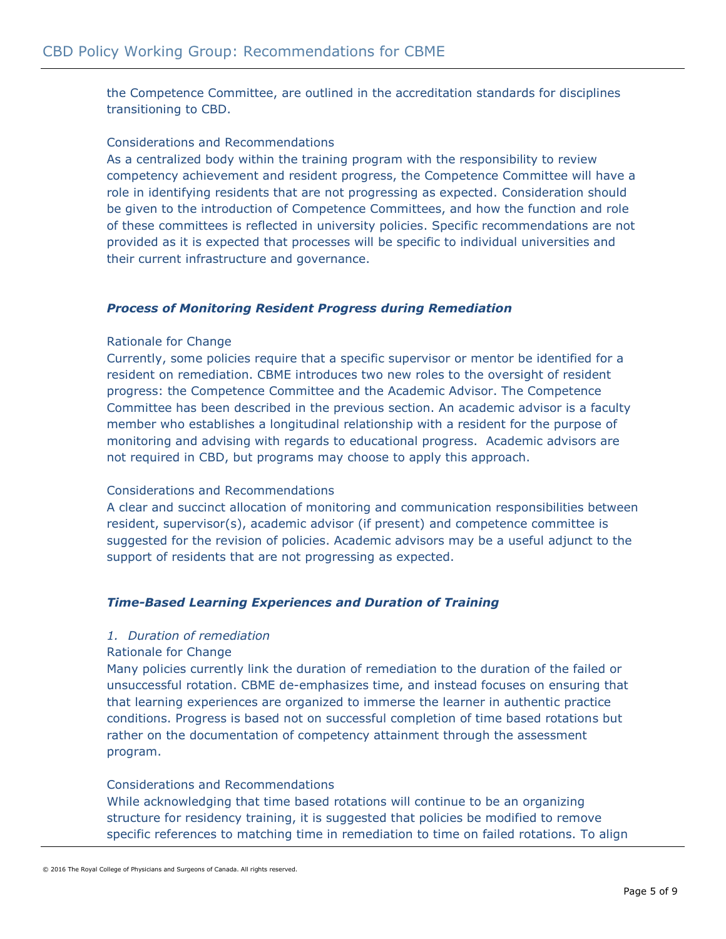the Competence Committee, are outlined in the accreditation standards for disciplines transitioning to CBD.

# Considerations and Recommendations

As a centralized body within the training program with the responsibility to review competency achievement and resident progress, the Competence Committee will have a role in identifying residents that are not progressing as expected. Consideration should be given to the introduction of Competence Committees, and how the function and role of these committees is reflected in university policies. Specific recommendations are not provided as it is expected that processes will be specific to individual universities and their current infrastructure and governance.

### *Process of Monitoring Resident Progress during Remediation*

### Rationale for Change

Currently, some policies require that a specific supervisor or mentor be identified for a resident on remediation. CBME introduces two new roles to the oversight of resident progress: the Competence Committee and the Academic Advisor. The Competence Committee has been described in the previous section. An academic advisor is a faculty member who establishes a longitudinal relationship with a resident for the purpose of monitoring and advising with regards to educational progress. Academic advisors are not required in CBD, but programs may choose to apply this approach.

### Considerations and Recommendations

A clear and succinct allocation of monitoring and communication responsibilities between resident, supervisor(s), academic advisor (if present) and competence committee is suggested for the revision of policies. Academic advisors may be a useful adjunct to the support of residents that are not progressing as expected.

# *Time-Based Learning Experiences and Duration of Training*

### *1. Duration of remediation*

### Rationale for Change

Many policies currently link the duration of remediation to the duration of the failed or unsuccessful rotation. CBME de-emphasizes time, and instead focuses on ensuring that that learning experiences are organized to immerse the learner in authentic practice conditions. Progress is based not on successful completion of time based rotations but rather on the documentation of competency attainment through the assessment program.

# Considerations and Recommendations

While acknowledging that time based rotations will continue to be an organizing structure for residency training, it is suggested that policies be modified to remove specific references to matching time in remediation to time on failed rotations. To align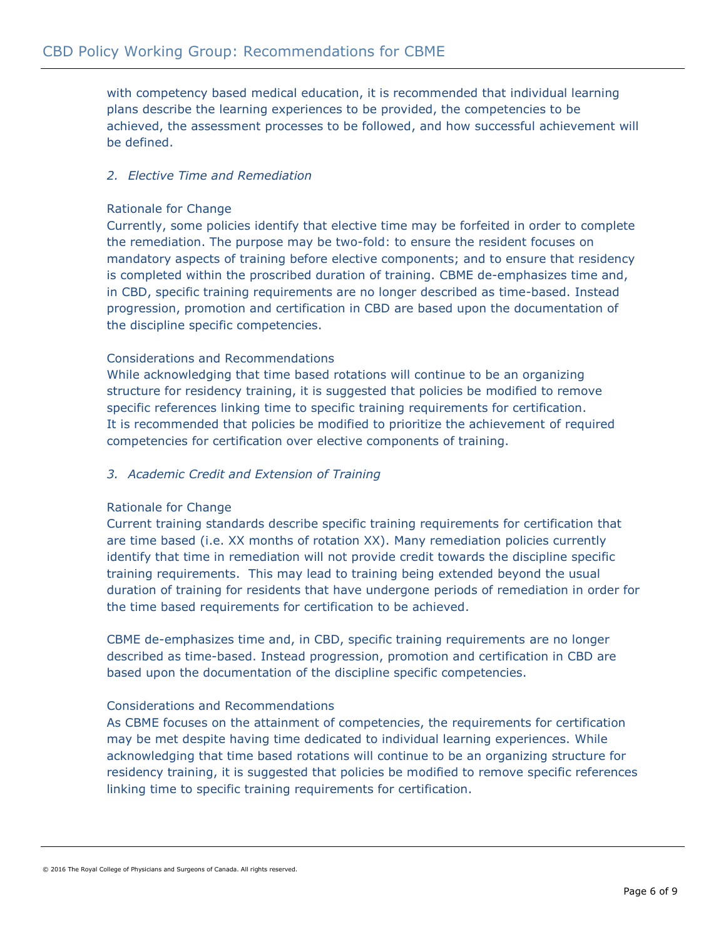with competency based medical education, it is recommended that individual learning plans describe the learning experiences to be provided, the competencies to be achieved, the assessment processes to be followed, and how successful achievement will be defined.

# *2. Elective Time and Remediation*

# Rationale for Change

Currently, some policies identify that elective time may be forfeited in order to complete the remediation. The purpose may be two-fold: to ensure the resident focuses on mandatory aspects of training before elective components; and to ensure that residency is completed within the proscribed duration of training. CBME de-emphasizes time and, in CBD, specific training requirements are no longer described as time-based. Instead progression, promotion and certification in CBD are based upon the documentation of the discipline specific competencies.

# Considerations and Recommendations

While acknowledging that time based rotations will continue to be an organizing structure for residency training, it is suggested that policies be modified to remove specific references linking time to specific training requirements for certification. It is recommended that policies be modified to prioritize the achievement of required competencies for certification over elective components of training.

# *3. Academic Credit and Extension of Training*

# Rationale for Change

Current training standards describe specific training requirements for certification that are time based (i.e. XX months of rotation XX). Many remediation policies currently identify that time in remediation will not provide credit towards the discipline specific training requirements. This may lead to training being extended beyond the usual duration of training for residents that have undergone periods of remediation in order for the time based requirements for certification to be achieved.

CBME de-emphasizes time and, in CBD, specific training requirements are no longer described as time-based. Instead progression, promotion and certification in CBD are based upon the documentation of the discipline specific competencies.

# Considerations and Recommendations

As CBME focuses on the attainment of competencies, the requirements for certification may be met despite having time dedicated to individual learning experiences. While acknowledging that time based rotations will continue to be an organizing structure for residency training, it is suggested that policies be modified to remove specific references linking time to specific training requirements for certification.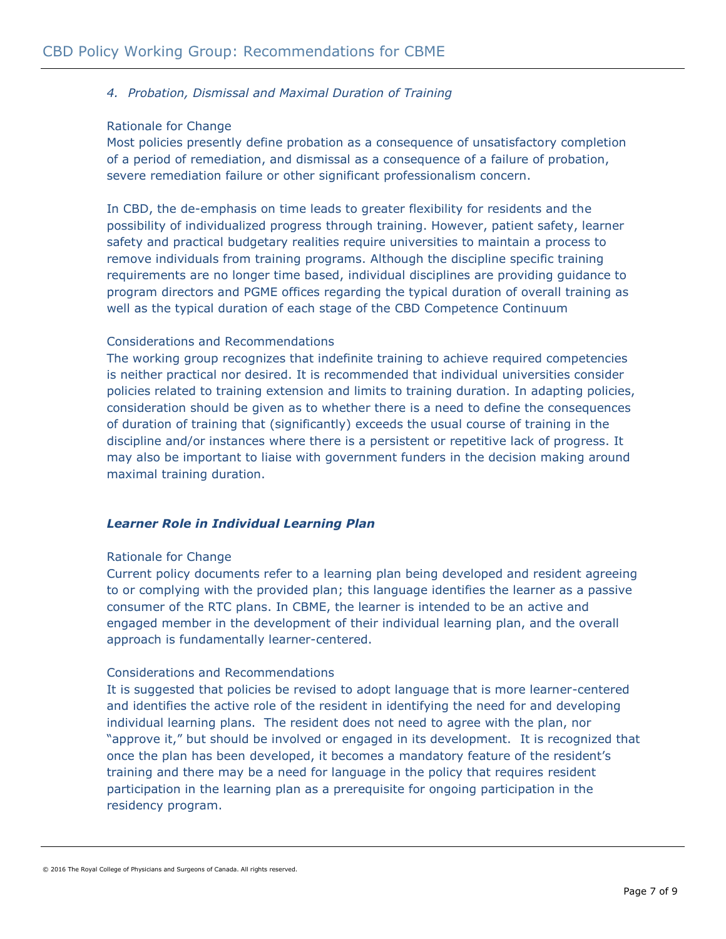# *4. Probation, Dismissal and Maximal Duration of Training*

### Rationale for Change

Most policies presently define probation as a consequence of unsatisfactory completion of a period of remediation, and dismissal as a consequence of a failure of probation, severe remediation failure or other significant professionalism concern.

In CBD, the de-emphasis on time leads to greater flexibility for residents and the possibility of individualized progress through training. However, patient safety, learner safety and practical budgetary realities require universities to maintain a process to remove individuals from training programs. Although the discipline specific training requirements are no longer time based, individual disciplines are providing guidance to program directors and PGME offices regarding the typical duration of overall training as well as the typical duration of each stage of the CBD Competence Continuum

# Considerations and Recommendations

The working group recognizes that indefinite training to achieve required competencies is neither practical nor desired. It is recommended that individual universities consider policies related to training extension and limits to training duration. In adapting policies, consideration should be given as to whether there is a need to define the consequences of duration of training that (significantly) exceeds the usual course of training in the discipline and/or instances where there is a persistent or repetitive lack of progress. It may also be important to liaise with government funders in the decision making around maximal training duration.

# *Learner Role in Individual Learning Plan*

### Rationale for Change

Current policy documents refer to a learning plan being developed and resident agreeing to or complying with the provided plan; this language identifies the learner as a passive consumer of the RTC plans. In CBME, the learner is intended to be an active and engaged member in the development of their individual learning plan, and the overall approach is fundamentally learner-centered.

# Considerations and Recommendations

It is suggested that policies be revised to adopt language that is more learner-centered and identifies the active role of the resident in identifying the need for and developing individual learning plans. The resident does not need to agree with the plan, nor "approve it," but should be involved or engaged in its development. It is recognized that once the plan has been developed, it becomes a mandatory feature of the resident's training and there may be a need for language in the policy that requires resident participation in the learning plan as a prerequisite for ongoing participation in the residency program.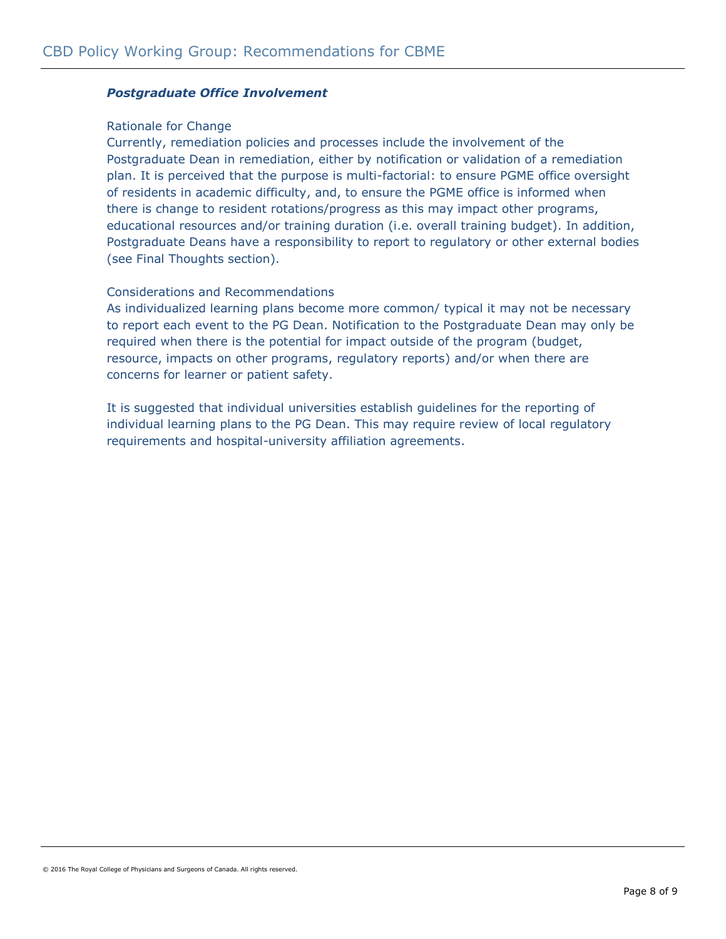# *Postgraduate Office Involvement*

### Rationale for Change

Currently, remediation policies and processes include the involvement of the Postgraduate Dean in remediation, either by notification or validation of a remediation plan. It is perceived that the purpose is multi-factorial: to ensure PGME office oversight of residents in academic difficulty, and, to ensure the PGME office is informed when there is change to resident rotations/progress as this may impact other programs, educational resources and/or training duration (i.e. overall training budget). In addition, Postgraduate Deans have a responsibility to report to regulatory or other external bodies (see Final Thoughts section).

### Considerations and Recommendations

As individualized learning plans become more common/ typical it may not be necessary to report each event to the PG Dean. Notification to the Postgraduate Dean may only be required when there is the potential for impact outside of the program (budget, resource, impacts on other programs, regulatory reports) and/or when there are concerns for learner or patient safety.

It is suggested that individual universities establish guidelines for the reporting of individual learning plans to the PG Dean. This may require review of local regulatory requirements and hospital-university affiliation agreements.